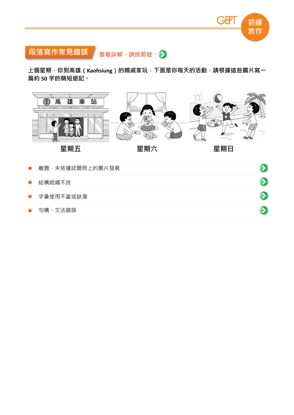



上個星期,你到高雄(Kaohsiung)的親戚家玩,下面是你每天的活動,請根據這些圖片寫一 篇約 **50** 字的簡短遊記。



| $\sim$    | 阿哒 小似逐叫这叫上的粤门欤戊 |  |
|-----------|-----------------|--|
| $\bullet$ | 結構組織不良          |  |
|           | ● 字彙使用不當或缺漏     |  |
|           | ● 句構、文法錯誤       |  |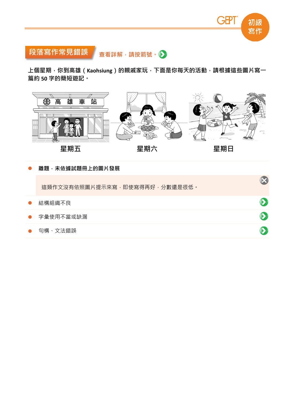

# 段落寫作常見錯誤查看詳解,請按箭號。▶

上個星期,你到高雄(Kaohsiung)的親戚家玩,下面是你每天的活動,請根據這些圖片寫一 篇約 **50** 字的簡短遊記。



離題,未依據試題冊上的圖片發展

這類作文沒有依照圖片提示來寫,即使寫得再好,分數還是很低。

| $\bullet$ | 結構組織不良      |  |
|-----------|-------------|--|
|           | ● 字彙使用不當或缺漏 |  |
|           | ● 句構、文法錯誤   |  |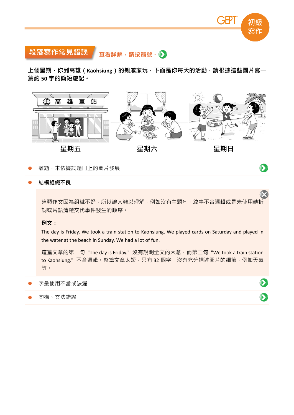

 $\odot$ 

 $\bullet$ 

 $\bullet$ 

# 段落寫作常見錯誤查看詳解,請按箭號。▶

上個星期<sup>,</sup>你到高雄(Kaohsiung)的親戚家玩<sup>,</sup>下面是你每天的活動<sup>,</sup>請根據這些圖片寫一 篇約 **50** 字的簡短遊記。



離題,未依據試題冊上的圖片發展

#### 結構組織不良

這類作文因為組織不好,所以讓人難以理解,例如沒有主題句、敘事不合邏輯或是未使用轉折 詞或片語清楚交代事件發生的順序。

例文:

The day is Friday. We took a train station to Kaohsiung. We played cards on Saturday and played in the water at the beach in Sunday. We had a lot of fun.

這篇文章的第一句 "The day is Friday." 沒有說明全文的大意,而第二句 "We took a train station to Kaohsiung."不合邏輯。整篇文章太短,只有 32 個字,沒有充分描述圖片的細節,例如天氣 等。

字彙使用不當或缺漏

句構、文法錯誤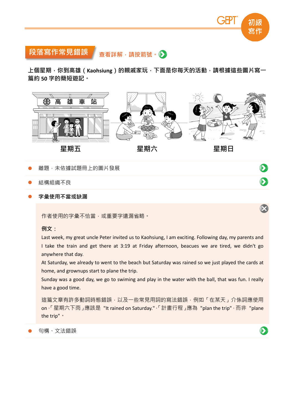

# 段落寫作常見錯誤查看詳解,請按箭號。▶

上個星期<sup>,</sup>你到高雄(Kaohsiung)的親戚家玩<sup>,</sup>下面是你每天的活動<sup>,</sup>請根據這些圖片寫一 篇約 **50** 字的簡短遊記。



離題,未依據試題冊上的圖片發展

- 結構組織不良
- 字彙使用不當或缺漏

作者使用的字彙不恰當,或重要字遺漏省略。

例文:

Last week, my great uncle Peter invited us to Kaohsiung, I am exciting. Following day, my parents and I take the train and get there at 3:19 at Friday afternoon, beacues we are tired, we didn't go anywhere that day.

At Saturday, we already to went to the beach but Saturday was rained so we just played the cards at home, and grownups start to plane the trip.

Sunday was a good day, we go to swiming and play in the water with the ball, that was fun. I really have a good time.

這篇文章有許多動詞時態錯誤,以及一些常見用詞的寫法錯誤,例如「在某天」介係詞應使用 on<sup>,「</sup>星期六下雨 」應該是 "It rained on Saturday."<sup>,「</sup>計畫行程 」應為 "plan the trip" · 而非 "plane the trip"。

句構、文法錯誤

 $\bullet$